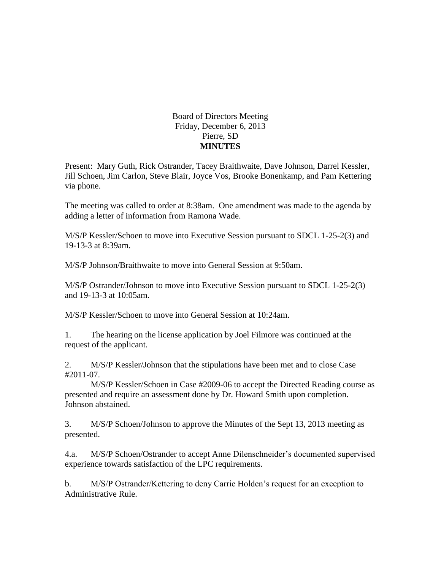## Board of Directors Meeting Friday, December 6, 2013 Pierre, SD **MINUTES**

Present: Mary Guth, Rick Ostrander, Tacey Braithwaite, Dave Johnson, Darrel Kessler, Jill Schoen, Jim Carlon, Steve Blair, Joyce Vos, Brooke Bonenkamp, and Pam Kettering via phone.

The meeting was called to order at 8:38am. One amendment was made to the agenda by adding a letter of information from Ramona Wade.

M/S/P Kessler/Schoen to move into Executive Session pursuant to SDCL 1-25-2(3) and 19-13-3 at 8:39am.

M/S/P Johnson/Braithwaite to move into General Session at 9:50am.

M/S/P Ostrander/Johnson to move into Executive Session pursuant to SDCL 1-25-2(3) and 19-13-3 at 10:05am.

M/S/P Kessler/Schoen to move into General Session at 10:24am.

1. The hearing on the license application by Joel Filmore was continued at the request of the applicant.

2. M/S/P Kessler/Johnson that the stipulations have been met and to close Case #2011-07.

M/S/P Kessler/Schoen in Case #2009-06 to accept the Directed Reading course as presented and require an assessment done by Dr. Howard Smith upon completion. Johnson abstained.

3. M/S/P Schoen/Johnson to approve the Minutes of the Sept 13, 2013 meeting as presented.

4.a. M/S/P Schoen/Ostrander to accept Anne Dilenschneider's documented supervised experience towards satisfaction of the LPC requirements.

b. M/S/P Ostrander/Kettering to deny Carrie Holden's request for an exception to Administrative Rule.